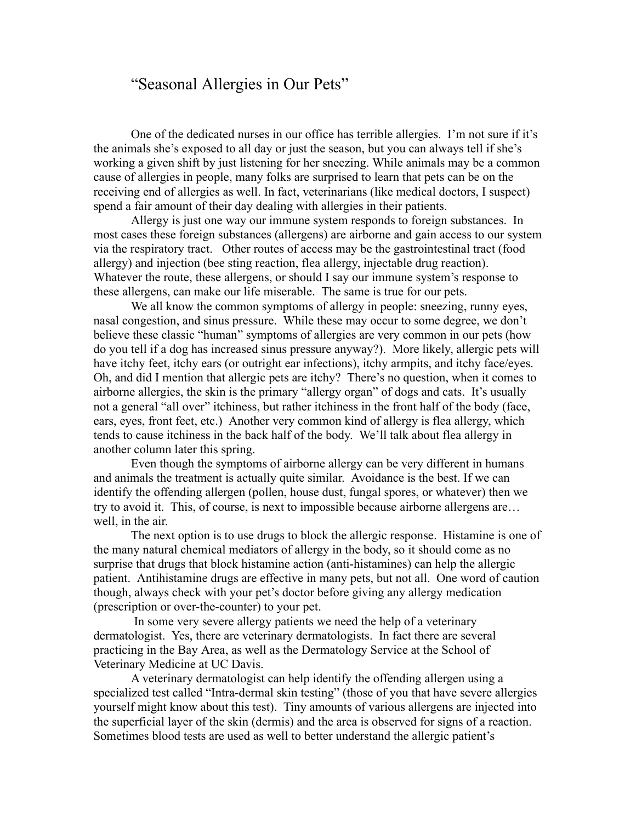## "Seasonal Allergies in Our Pets"

One of the dedicated nurses in our office has terrible allergies. I'm not sure if it's the animals she's exposed to all day or just the season, but you can always tell if she's working a given shift by just listening for her sneezing. While animals may be a common cause of allergies in people, many folks are surprised to learn that pets can be on the receiving end of allergies as well. In fact, veterinarians (like medical doctors, I suspect) spend a fair amount of their day dealing with allergies in their patients.

Allergy is just one way our immune system responds to foreign substances. In most cases these foreign substances (allergens) are airborne and gain access to our system via the respiratory tract. Other routes of access may be the gastrointestinal tract (food allergy) and injection (bee sting reaction, flea allergy, injectable drug reaction). Whatever the route, these allergens, or should I say our immune system's response to these allergens, can make our life miserable. The same is true for our pets.

We all know the common symptoms of allergy in people: sneezing, runny eyes, nasal congestion, and sinus pressure. While these may occur to some degree, we don't believe these classic "human" symptoms of allergies are very common in our pets (how do you tell if a dog has increased sinus pressure anyway?). More likely, allergic pets will have itchy feet, itchy ears (or outright ear infections), itchy armpits, and itchy face/eyes. Oh, and did I mention that allergic pets are itchy? There's no question, when it comes to airborne allergies, the skin is the primary "allergy organ" of dogs and cats. It's usually not a general "all over" itchiness, but rather itchiness in the front half of the body (face, ears, eyes, front feet, etc.) Another very common kind of allergy is flea allergy, which tends to cause itchiness in the back half of the body. We'll talk about flea allergy in another column later this spring.

Even though the symptoms of airborne allergy can be very different in humans and animals the treatment is actually quite similar. Avoidance is the best. If we can identify the offending allergen (pollen, house dust, fungal spores, or whatever) then we try to avoid it. This, of course, is next to impossible because airborne allergens are… well, in the air.

The next option is to use drugs to block the allergic response. Histamine is one of the many natural chemical mediators of allergy in the body, so it should come as no surprise that drugs that block histamine action (anti-histamines) can help the allergic patient. Antihistamine drugs are effective in many pets, but not all. One word of caution though, always check with your pet's doctor before giving any allergy medication (prescription or over-the-counter) to your pet.

 In some very severe allergy patients we need the help of a veterinary dermatologist. Yes, there are veterinary dermatologists. In fact there are several practicing in the Bay Area, as well as the Dermatology Service at the School of Veterinary Medicine at UC Davis.

A veterinary dermatologist can help identify the offending allergen using a specialized test called "Intra-dermal skin testing" (those of you that have severe allergies yourself might know about this test). Tiny amounts of various allergens are injected into the superficial layer of the skin (dermis) and the area is observed for signs of a reaction. Sometimes blood tests are used as well to better understand the allergic patient's